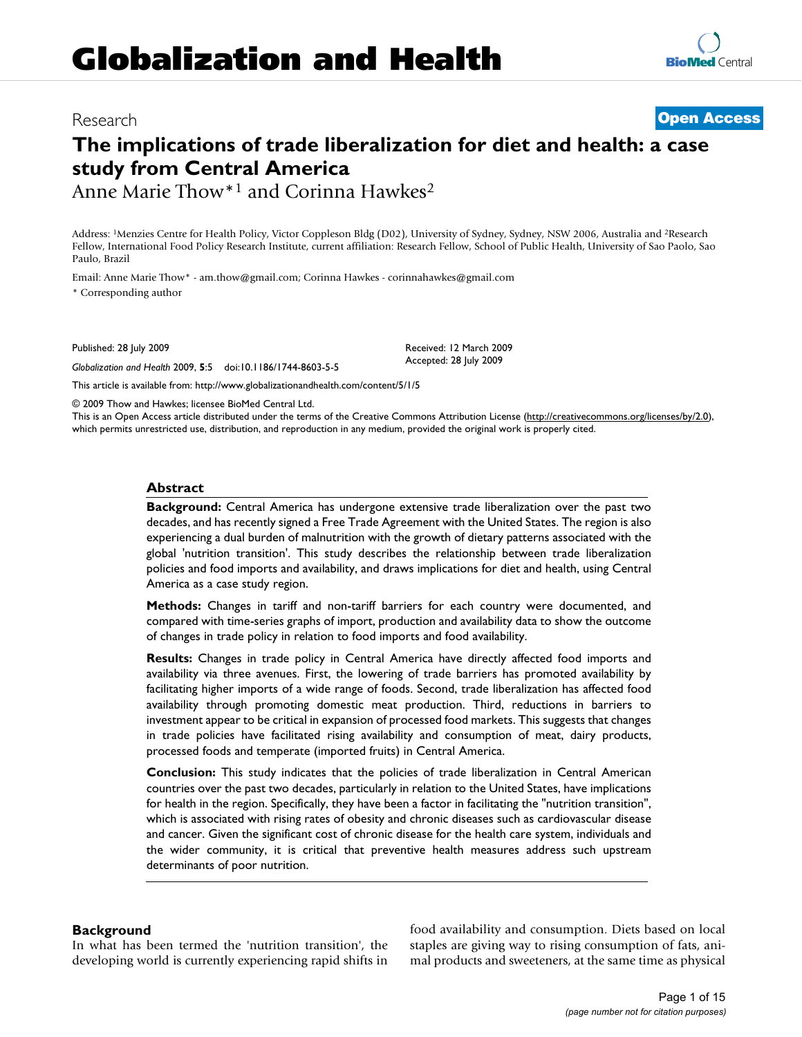# Research **[Open Access](http://www.biomedcentral.com/info/about/charter/)**

**[BioMed](http://www.biomedcentral.com/)** Central

# **The implications of trade liberalization for diet and health: a case study from Central America**

Anne Marie Thow\*1 and Corinna Hawkes2

Address: 1Menzies Centre for Health Policy, Victor Coppleson Bldg (D02), University of Sydney, Sydney, NSW 2006, Australia and 2Research Fellow, International Food Policy Research Institute, current affiliation: Research Fellow, School of Public Health, University of Sao Paolo, Sao Paulo, Brazil

Email: Anne Marie Thow\* - am.thow@gmail.com; Corinna Hawkes - corinnahawkes@gmail.com \* Corresponding author

Published: 28 July 2009

*Globalization and Health* 2009, **5**:5 doi:10.1186/1744-8603-5-5

Received: 12 March 2009 Accepted: 28 July 2009

© 2009 Thow and Hawkes; licensee BioMed Central Ltd.

[This article is available from: http://www.globalizationandhealth.com/content/5/1/5](http://www.globalizationandhealth.com/content/5/1/5)

This is an Open Access article distributed under the terms of the Creative Commons Attribution License [\(http://creativecommons.org/licenses/by/2.0\)](http://creativecommons.org/licenses/by/2.0), which permits unrestricted use, distribution, and reproduction in any medium, provided the original work is properly cited.

#### **Abstract**

**Background:** Central America has undergone extensive trade liberalization over the past two decades, and has recently signed a Free Trade Agreement with the United States. The region is also experiencing a dual burden of malnutrition with the growth of dietary patterns associated with the global 'nutrition transition'. This study describes the relationship between trade liberalization policies and food imports and availability, and draws implications for diet and health, using Central America as a case study region.

**Methods:** Changes in tariff and non-tariff barriers for each country were documented, and compared with time-series graphs of import, production and availability data to show the outcome of changes in trade policy in relation to food imports and food availability.

**Results:** Changes in trade policy in Central America have directly affected food imports and availability via three avenues. First, the lowering of trade barriers has promoted availability by facilitating higher imports of a wide range of foods. Second, trade liberalization has affected food availability through promoting domestic meat production. Third, reductions in barriers to investment appear to be critical in expansion of processed food markets. This suggests that changes in trade policies have facilitated rising availability and consumption of meat, dairy products, processed foods and temperate (imported fruits) in Central America.

**Conclusion:** This study indicates that the policies of trade liberalization in Central American countries over the past two decades, particularly in relation to the United States, have implications for health in the region. Specifically, they have been a factor in facilitating the "nutrition transition", which is associated with rising rates of obesity and chronic diseases such as cardiovascular disease and cancer. Given the significant cost of chronic disease for the health care system, individuals and the wider community, it is critical that preventive health measures address such upstream determinants of poor nutrition.

#### **Background**

In what has been termed the 'nutrition transition', the developing world is currently experiencing rapid shifts in food availability and consumption. Diets based on local staples are giving way to rising consumption of fats, animal products and sweeteners, at the same time as physical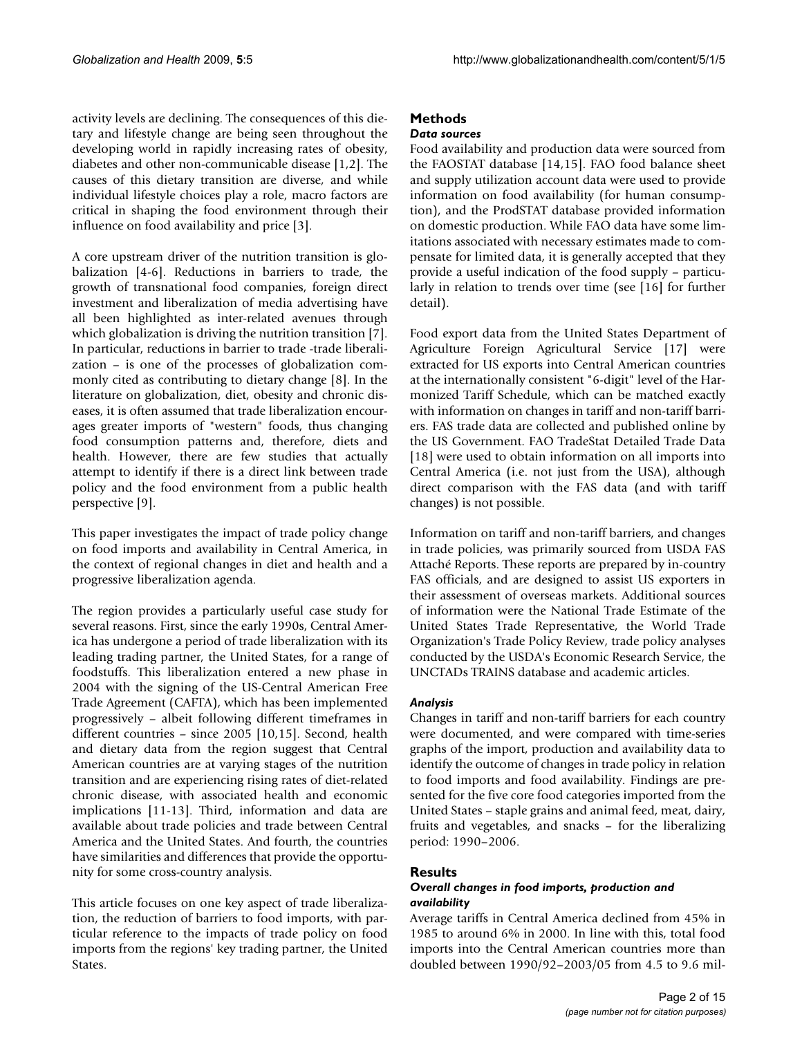activity levels are declining. The consequences of this dietary and lifestyle change are being seen throughout the developing world in rapidly increasing rates of obesity, diabetes and other non-communicable disease [\[1](#page-13-0)[,2\]](#page-13-1). The causes of this dietary transition are diverse, and while individual lifestyle choices play a role, macro factors are critical in shaping the food environment through their influence on food availability and price [\[3\]](#page-13-2).

A core upstream driver of the nutrition transition is globalization [\[4-](#page-13-3)[6](#page-13-4)]. Reductions in barriers to trade, the growth of transnational food companies, foreign direct investment and liberalization of media advertising have all been highlighted as inter-related avenues through which globalization is driving the nutrition transition [[7](#page-13-5)]. In particular, reductions in barrier to trade -trade liberalization – is one of the processes of globalization commonly cited as contributing to dietary change [\[8\]](#page-13-6). In the literature on globalization, diet, obesity and chronic diseases, it is often assumed that trade liberalization encourages greater imports of "western" foods, thus changing food consumption patterns and, therefore, diets and health. However, there are few studies that actually attempt to identify if there is a direct link between trade policy and the food environment from a public health perspective [[9](#page-13-7)].

This paper investigates the impact of trade policy change on food imports and availability in Central America, in the context of regional changes in diet and health and a progressive liberalization agenda.

The region provides a particularly useful case study for several reasons. First, since the early 1990s, Central America has undergone a period of trade liberalization with its leading trading partner, the United States, for a range of foodstuffs. This liberalization entered a new phase in 2004 with the signing of the US-Central American Free Trade Agreement (CAFTA), which has been implemented progressively – albeit following different timeframes in different countries – since 2005 [\[10](#page-13-8),[15](#page-13-9)]. Second, health and dietary data from the region suggest that Central American countries are at varying stages of the nutrition transition and are experiencing rising rates of diet-related chronic disease, with associated health and economic implications [\[11](#page-13-10)[-13](#page-13-11)]. Third, information and data are available about trade policies and trade between Central America and the United States. And fourth, the countries have similarities and differences that provide the opportunity for some cross-country analysis.

This article focuses on one key aspect of trade liberalization, the reduction of barriers to food imports, with particular reference to the impacts of trade policy on food imports from the regions' key trading partner, the United States.

# **Methods**

#### *Data sources*

Food availability and production data were sourced from the FAOSTAT database [\[14](#page-13-12),[15](#page-13-9)]. FAO food balance sheet and supply utilization account data were used to provide information on food availability (for human consumption), and the ProdSTAT database provided information on domestic production. While FAO data have some limitations associated with necessary estimates made to compensate for limited data, it is generally accepted that they provide a useful indication of the food supply – particularly in relation to trends over time (see [\[16\]](#page-13-13) for further detail).

Food export data from the United States Department of Agriculture Foreign Agricultural Service [[17\]](#page-13-14) were extracted for US exports into Central American countries at the internationally consistent "6-digit" level of the Harmonized Tariff Schedule, which can be matched exactly with information on changes in tariff and non-tariff barriers. FAS trade data are collected and published online by the US Government. FAO TradeStat Detailed Trade Data [[18](#page-13-15)] were used to obtain information on all imports into Central America (i.e. not just from the USA), although direct comparison with the FAS data (and with tariff changes) is not possible.

Information on tariff and non-tariff barriers, and changes in trade policies, was primarily sourced from USDA FAS Attaché Reports. These reports are prepared by in-country FAS officials, and are designed to assist US exporters in their assessment of overseas markets. Additional sources of information were the National Trade Estimate of the United States Trade Representative, the World Trade Organization's Trade Policy Review, trade policy analyses conducted by the USDA's Economic Research Service, the UNCTADs TRAINS database and academic articles.

# *Analysis*

Changes in tariff and non-tariff barriers for each country were documented, and were compared with time-series graphs of the import, production and availability data to identify the outcome of changes in trade policy in relation to food imports and food availability. Findings are presented for the five core food categories imported from the United States – staple grains and animal feed, meat, dairy, fruits and vegetables, and snacks – for the liberalizing period: 1990–2006.

# **Results**

#### *Overall changes in food imports, production and availability*

Average tariffs in Central America declined from 45% in 1985 to around 6% in 2000. In line with this, total food imports into the Central American countries more than doubled between 1990/92–2003/05 from 4.5 to 9.6 mil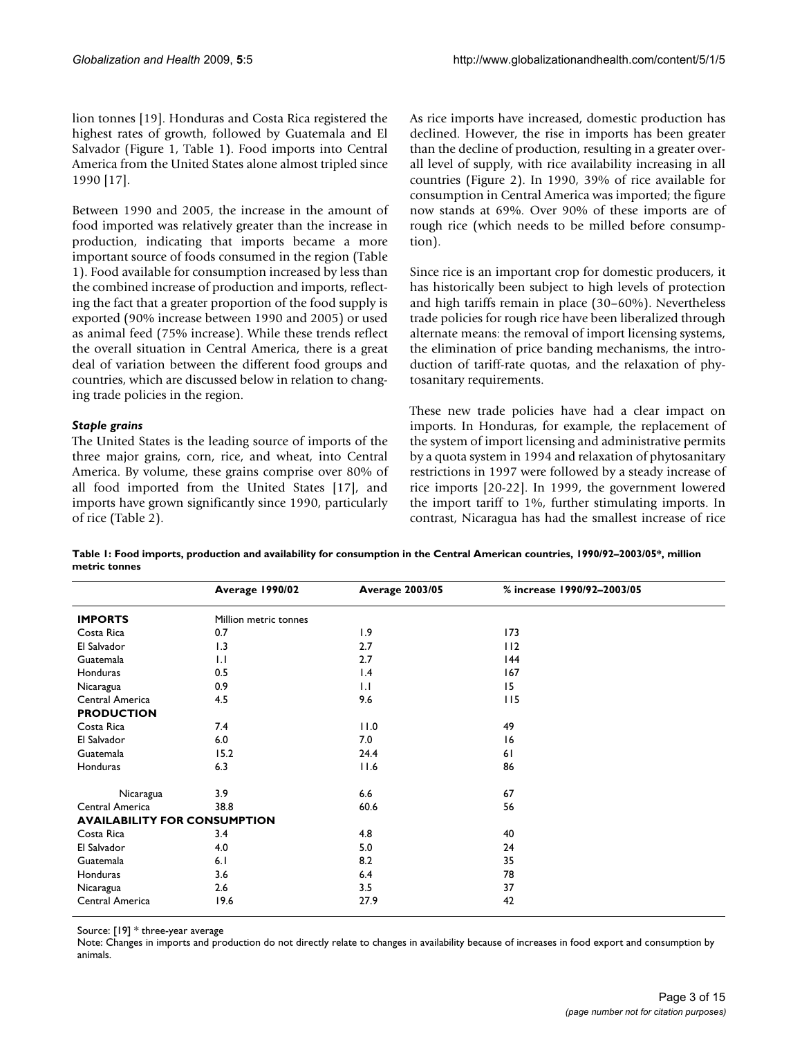lion tonnes [[19](#page-13-16)]. Honduras and Costa Rica registered the highest rates of growth, followed by Guatemala and El Salvador (Figure [1](#page-3-0), Table [1](#page-2-0)). Food imports into Central America from the United States alone almost tripled since 1990 [[17\]](#page-13-14).

Between 1990 and 2005, the increase in the amount of food imported was relatively greater than the increase in production, indicating that imports became a more important source of foods consumed in the region (Table [1\)](#page-2-0). Food available for consumption increased by less than the combined increase of production and imports, reflecting the fact that a greater proportion of the food supply is exported (90% increase between 1990 and 2005) or used as animal feed (75% increase). While these trends reflect the overall situation in Central America, there is a great deal of variation between the different food groups and countries, which are discussed below in relation to changing trade policies in the region.

#### *Staple grains*

The United States is the leading source of imports of the three major grains, corn, rice, and wheat, into Central America. By volume, these grains comprise over 80% of all food imported from the United States [\[17](#page-13-14)], and imports have grown significantly since 1990, particularly of rice (Table [2\)](#page-3-1).

As rice imports have increased, domestic production has declined. However, the rise in imports has been greater than the decline of production, resulting in a greater overall level of supply, with rice availability increasing in all countries (Figure [2\)](#page-4-0). In 1990, 39% of rice available for consumption in Central America was imported; the figure now stands at 69%. Over 90% of these imports are of rough rice (which needs to be milled before consumption).

Since rice is an important crop for domestic producers, it has historically been subject to high levels of protection and high tariffs remain in place (30–60%). Nevertheless trade policies for rough rice have been liberalized through alternate means: the removal of import licensing systems, the elimination of price banding mechanisms, the introduction of tariff-rate quotas, and the relaxation of phytosanitary requirements.

These new trade policies have had a clear impact on imports. In Honduras, for example, the replacement of the system of import licensing and administrative permits by a quota system in 1994 and relaxation of phytosanitary restrictions in 1997 were followed by a steady increase of rice imports [\[20](#page-13-17)[-22](#page-14-0)]. In 1999, the government lowered the import tariff to 1%, further stimulating imports. In contrast, Nicaragua has had the smallest increase of rice

<span id="page-2-0"></span>

| Table 1: Food imports, production and availability for consumption in the Central American countries, 1990/92–2003/05*, million |  |
|---------------------------------------------------------------------------------------------------------------------------------|--|
| metric tonnes                                                                                                                   |  |

|                                     | Average 1990/02       | <b>Average 2003/05</b> | % increase 1990/92-2003/05 |  |
|-------------------------------------|-----------------------|------------------------|----------------------------|--|
|                                     |                       |                        |                            |  |
| <b>IMPORTS</b>                      | Million metric tonnes |                        |                            |  |
| Costa Rica                          | 0.7                   | 1.9                    | 173                        |  |
| El Salvador                         | 1.3                   | 2.7                    | 112                        |  |
| Guatemala                           | $\mathsf{L}$          | 2.7                    | 44                         |  |
| Honduras                            | 0.5                   | 1.4                    | 167                        |  |
| Nicaragua                           | 0.9                   | $\overline{1}$ .       | 15                         |  |
| Central America                     | 4.5                   | 9.6                    | 115                        |  |
| <b>PRODUCTION</b>                   |                       |                        |                            |  |
| Costa Rica                          | 7.4                   | 11.0                   | 49                         |  |
| El Salvador                         | 6.0                   | 7.0                    | 16                         |  |
| Guatemala                           | 15.2                  | 24.4                   | 61                         |  |
| Honduras                            | 6.3                   | 11.6                   | 86                         |  |
| Nicaragua                           | 3.9                   | 6.6                    | 67                         |  |
| Central America                     | 38.8                  | 60.6                   | 56                         |  |
| <b>AVAILABILITY FOR CONSUMPTION</b> |                       |                        |                            |  |
| Costa Rica                          | 3.4                   | 4.8                    | 40                         |  |
| El Salvador                         | 4.0                   | 5.0                    | 24                         |  |
| Guatemala                           | 6.1                   | 8.2                    | 35                         |  |
| Honduras                            | 3.6                   | 6.4                    | 78                         |  |
| Nicaragua                           | 2.6                   | 3.5                    | 37                         |  |
| Central America                     | 19.6                  | 27.9                   | 42                         |  |

Source: [\[19](#page-13-16)] \* three-year average

Note: Changes in imports and production do not directly relate to changes in availability because of increases in food export and consumption by animals.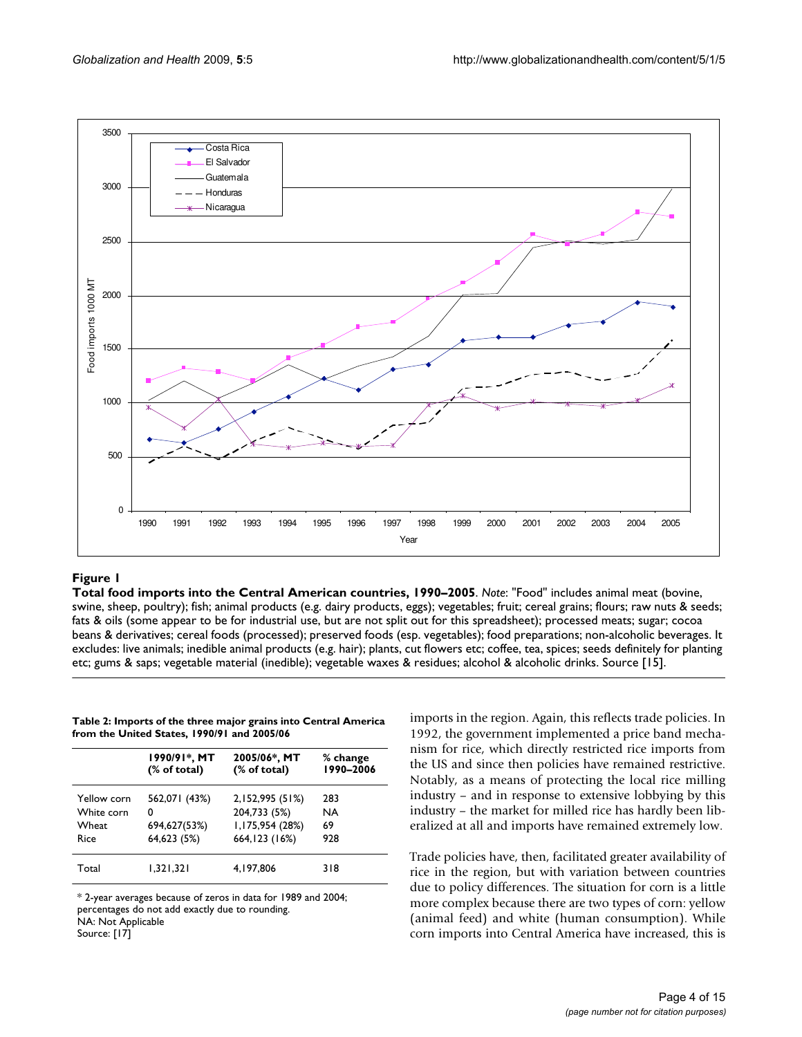<span id="page-3-0"></span>

# Figure 1

**Total food imports into the Central American countries, 1990–2005**. *Note*: "Food" includes animal meat (bovine, swine, sheep, poultry); fish; animal products (e.g. dairy products, eggs); vegetables; fruit; cereal grains; flours; raw nuts & seeds; fats & oils (some appear to be for industrial use, but are not split out for this spreadsheet); processed meats; sugar; cocoa beans & derivatives; cereal foods (processed); preserved foods (esp. vegetables); food preparations; non-alcoholic beverages. It excludes: live animals; inedible animal products (e.g. hair); plants, cut flowers etc; coffee, tea, spices; seeds definitely for planting etc; gums & saps; vegetable material (inedible); vegetable waxes & residues; alcohol & alcoholic drinks. Source [\[15](#page-13-9)].

<span id="page-3-1"></span>

| Table 2: Imports of the three major grains into Central America |  |
|-----------------------------------------------------------------|--|
| from the United States, 1990/91 and 2005/06                     |  |

|             | 1990/91*, MT<br>(% of total) | 2005/06*, MT<br>(% of total) | % change<br>1990-2006 |
|-------------|------------------------------|------------------------------|-----------------------|
| Yellow corn | 562,071 (43%)                | 2,152,995 (51%)              | 283                   |
| White corn  | 0                            | 204,733 (5%)                 | <b>NA</b>             |
| Wheat       | 694,627(53%)                 | 1,175,954 (28%)              | 69                    |
| Rice        | 64,623 (5%)                  | 664, 123 (16%)               | 928                   |
| Total       | 1,321,321                    | 4.197.806                    | 318                   |

\* 2-year averages because of zeros in data for 1989 and 2004; percentages do not add exactly due to rounding. NA: Not Applicable Source: [\[17](#page-13-14)]

imports in the region. Again, this reflects trade policies. In 1992, the government implemented a price band mechanism for rice, which directly restricted rice imports from the US and since then policies have remained restrictive. Notably, as a means of protecting the local rice milling industry – and in response to extensive lobbying by this industry – the market for milled rice has hardly been liberalized at all and imports have remained extremely low.

Trade policies have, then, facilitated greater availability of rice in the region, but with variation between countries due to policy differences. The situation for corn is a little more complex because there are two types of corn: yellow (animal feed) and white (human consumption). While corn imports into Central America have increased, this is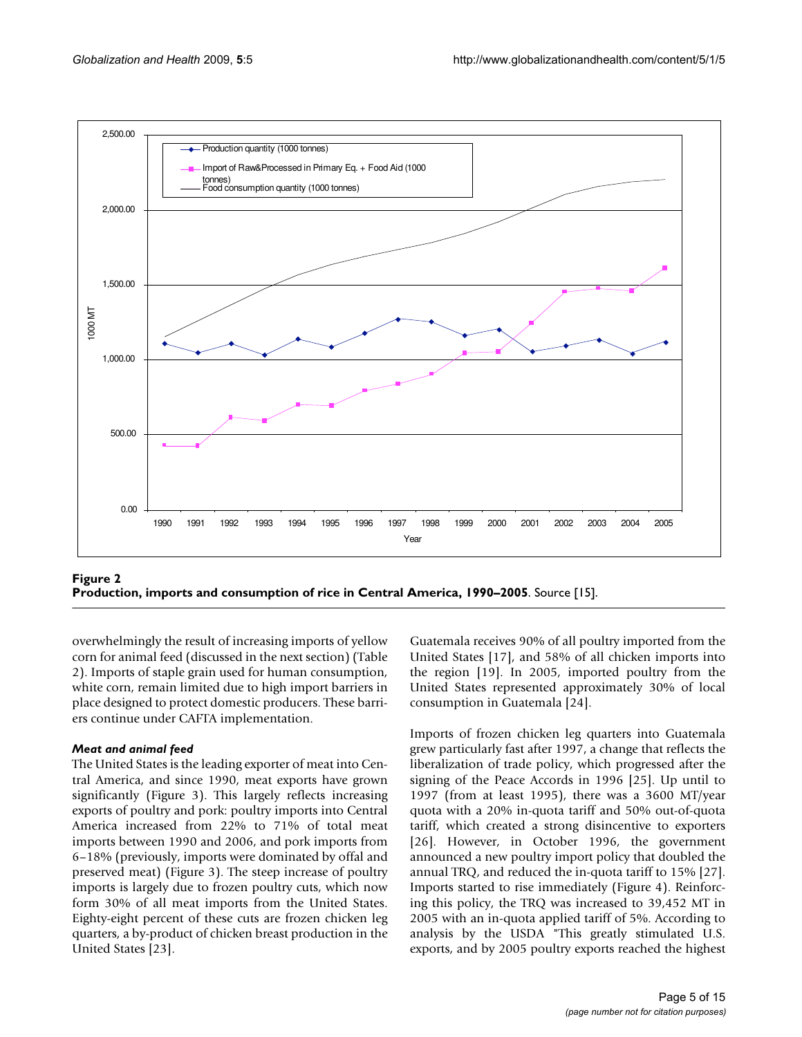<span id="page-4-0"></span>

Production, imports and consumption of rice in Central America, 1990–2005 **Figure 2 Production, imports and consumption of rice in Central America, 1990–2005**. Source [[15](#page-13-9)].

overwhelmingly the result of increasing imports of yellow corn for animal feed (discussed in the next section) (Table [2\)](#page-3-1). Imports of staple grain used for human consumption, white corn, remain limited due to high import barriers in place designed to protect domestic producers. These barriers continue under CAFTA implementation.

# *Meat and animal feed*

The United States is the leading exporter of meat into Central America, and since 1990, meat exports have grown significantly (Figure [3\)](#page-5-0). This largely reflects increasing exports of poultry and pork: poultry imports into Central America increased from 22% to 71% of total meat imports between 1990 and 2006, and pork imports from 6–18% (previously, imports were dominated by offal and preserved meat) (Figure [3](#page-5-0)). The steep increase of poultry imports is largely due to frozen poultry cuts, which now form 30% of all meat imports from the United States. Eighty-eight percent of these cuts are frozen chicken leg quarters, a by-product of chicken breast production in the United States [[23\]](#page-14-1).

Guatemala receives 90% of all poultry imported from the United States [\[17](#page-13-14)], and 58% of all chicken imports into the region [\[19](#page-13-16)]. In 2005, imported poultry from the United States represented approximately 30% of local consumption in Guatemala [\[24\]](#page-14-2).

Imports of frozen chicken leg quarters into Guatemala grew particularly fast after 1997, a change that reflects the liberalization of trade policy, which progressed after the signing of the Peace Accords in 1996 [\[25](#page-14-3)]. Up until to 1997 (from at least 1995), there was a 3600 MT/year quota with a 20% in-quota tariff and 50% out-of-quota tariff, which created a strong disincentive to exporters [[26](#page-14-4)]. However, in October 1996, the government announced a new poultry import policy that doubled the annual TRQ, and reduced the in-quota tariff to 15% [\[27](#page-14-5)]. Imports started to rise immediately (Figure [4\)](#page-6-0). Reinforcing this policy, the TRQ was increased to 39,452 MT in 2005 with an in-quota applied tariff of 5%. According to analysis by the USDA "This greatly stimulated U.S. exports, and by 2005 poultry exports reached the highest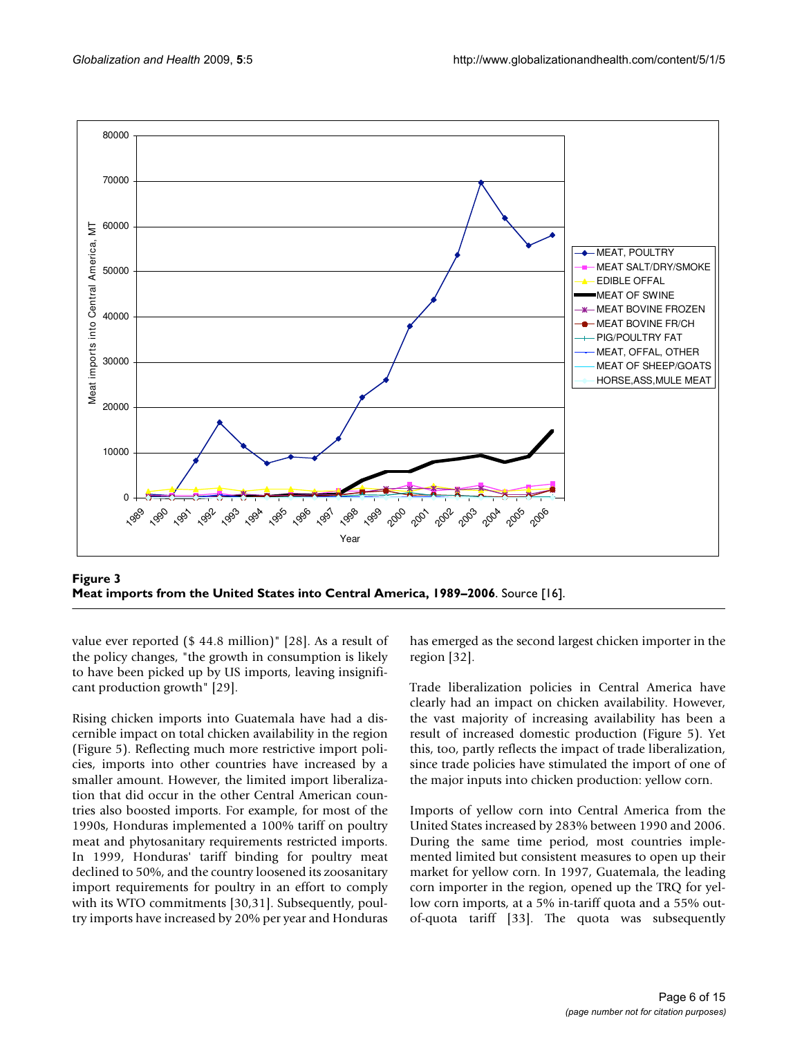<span id="page-5-0"></span>

**Figure 3 Meat imports from the United States into Central America, 1989–2006**. Source [[16](#page-13-13)].

value ever reported (\$ 44.8 million)" [\[28](#page-14-6)]. As a result of the policy changes, "the growth in consumption is likely to have been picked up by US imports, leaving insignificant production growth" [\[29\]](#page-14-7).

Rising chicken imports into Guatemala have had a discernible impact on total chicken availability in the region (Figure [5\)](#page-7-0). Reflecting much more restrictive import policies, imports into other countries have increased by a smaller amount. However, the limited import liberalization that did occur in the other Central American countries also boosted imports. For example, for most of the 1990s, Honduras implemented a 100% tariff on poultry meat and phytosanitary requirements restricted imports. In 1999, Honduras' tariff binding for poultry meat declined to 50%, and the country loosened its zoosanitary import requirements for poultry in an effort to comply with its WTO commitments [[30,](#page-14-8)[31](#page-14-9)]. Subsequently, poultry imports have increased by 20% per year and Honduras has emerged as the second largest chicken importer in the region [[32\]](#page-14-10).

Trade liberalization policies in Central America have clearly had an impact on chicken availability. However, the vast majority of increasing availability has been a result of increased domestic production (Figure [5](#page-7-0)). Yet this, too, partly reflects the impact of trade liberalization, since trade policies have stimulated the import of one of the major inputs into chicken production: yellow corn.

Imports of yellow corn into Central America from the United States increased by 283% between 1990 and 2006. During the same time period, most countries implemented limited but consistent measures to open up their market for yellow corn. In 1997, Guatemala, the leading corn importer in the region, opened up the TRQ for yellow corn imports, at a 5% in-tariff quota and a 55% outof-quota tariff [[33\]](#page-14-11). The quota was subsequently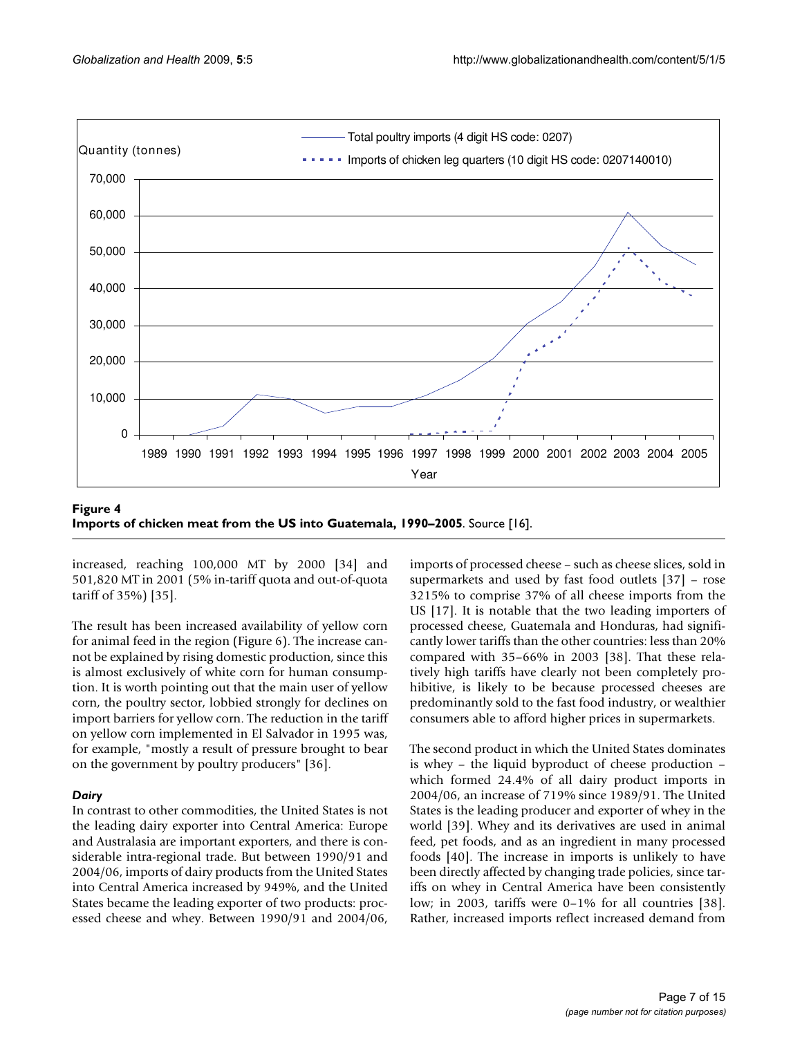<span id="page-6-0"></span>

**Figure 4 Imports of chicken meat from the US into Guatemala, 1990–2005**. Source [\[16](#page-13-13)].

increased, reaching 100,000 MT by 2000 [[34\]](#page-14-12) and 501,820 MT in 2001 (5% in-tariff quota and out-of-quota tariff of 35%) [\[35](#page-14-13)].

The result has been increased availability of yellow corn for animal feed in the region (Figure [6](#page-8-0)). The increase cannot be explained by rising domestic production, since this is almost exclusively of white corn for human consumption. It is worth pointing out that the main user of yellow corn, the poultry sector, lobbied strongly for declines on import barriers for yellow corn. The reduction in the tariff on yellow corn implemented in El Salvador in 1995 was, for example, "mostly a result of pressure brought to bear on the government by poultry producers" [\[36\]](#page-14-14).

# *Dairy*

In contrast to other commodities, the United States is not the leading dairy exporter into Central America: Europe and Australasia are important exporters, and there is considerable intra-regional trade. But between 1990/91 and 2004/06, imports of dairy products from the United States into Central America increased by 949%, and the United States became the leading exporter of two products: processed cheese and whey. Between 1990/91 and 2004/06, imports of processed cheese – such as cheese slices, sold in supermarkets and used by fast food outlets [\[37\]](#page-14-15) – rose 3215% to comprise 37% of all cheese imports from the US [\[17](#page-13-14)]. It is notable that the two leading importers of processed cheese, Guatemala and Honduras, had significantly lower tariffs than the other countries: less than 20% compared with 35–66% in 2003 [\[38](#page-14-16)]. That these relatively high tariffs have clearly not been completely prohibitive, is likely to be because processed cheeses are predominantly sold to the fast food industry, or wealthier consumers able to afford higher prices in supermarkets.

The second product in which the United States dominates is whey – the liquid byproduct of cheese production – which formed 24.4% of all dairy product imports in 2004/06, an increase of 719% since 1989/91. The United States is the leading producer and exporter of whey in the world [[39](#page-14-17)]. Whey and its derivatives are used in animal feed, pet foods, and as an ingredient in many processed foods [\[40](#page-14-18)]. The increase in imports is unlikely to have been directly affected by changing trade policies, since tariffs on whey in Central America have been consistently low; in 2003, tariffs were 0–1% for all countries [\[38](#page-14-16)]. Rather, increased imports reflect increased demand from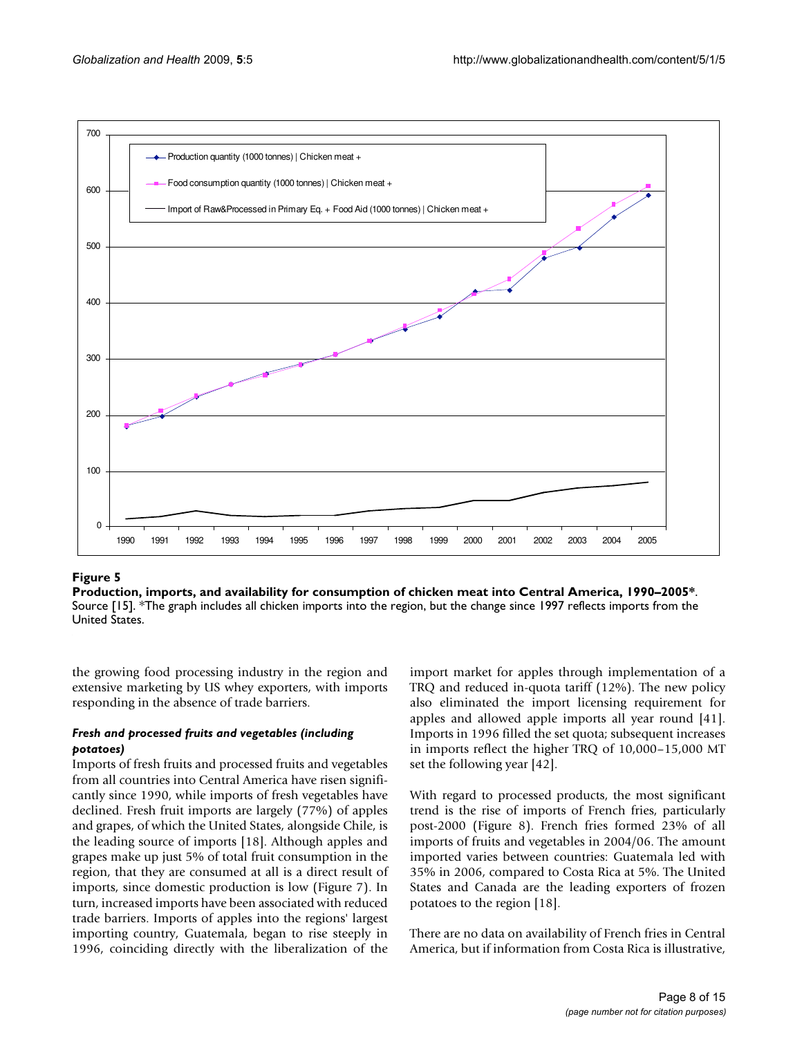<span id="page-7-0"></span>

# Production, imports, and availability for consumptio **Figure 5** n of chicken meat into Central America, 1990–2005\*

**Production, imports, and availability for consumption of chicken meat into Central America, 1990–2005\***. Source [[15](#page-13-9)]. \*The graph includes all chicken imports into the region, but the change since 1997 reflects imports from the United States.

the growing food processing industry in the region and extensive marketing by US whey exporters, with imports responding in the absence of trade barriers.

# *Fresh and processed fruits and vegetables (including potatoes)*

Imports of fresh fruits and processed fruits and vegetables from all countries into Central America have risen significantly since 1990, while imports of fresh vegetables have declined. Fresh fruit imports are largely (77%) of apples and grapes, of which the United States, alongside Chile, is the leading source of imports [\[18](#page-13-15)]. Although apples and grapes make up just 5% of total fruit consumption in the region, that they are consumed at all is a direct result of imports, since domestic production is low (Figure [7](#page-9-0)). In turn, increased imports have been associated with reduced trade barriers. Imports of apples into the regions' largest importing country, Guatemala, began to rise steeply in 1996, coinciding directly with the liberalization of the import market for apples through implementation of a TRQ and reduced in-quota tariff (12%). The new policy also eliminated the import licensing requirement for apples and allowed apple imports all year round [\[41](#page-14-19)]. Imports in 1996 filled the set quota; subsequent increases in imports reflect the higher TRQ of 10,000–15,000 MT set the following year [\[42\]](#page-14-20).

With regard to processed products, the most significant trend is the rise of imports of French fries, particularly post-2000 (Figure [8](#page-10-0)). French fries formed 23% of all imports of fruits and vegetables in 2004/06. The amount imported varies between countries: Guatemala led with 35% in 2006, compared to Costa Rica at 5%. The United States and Canada are the leading exporters of frozen potatoes to the region [\[18](#page-13-15)].

There are no data on availability of French fries in Central America, but if information from Costa Rica is illustrative,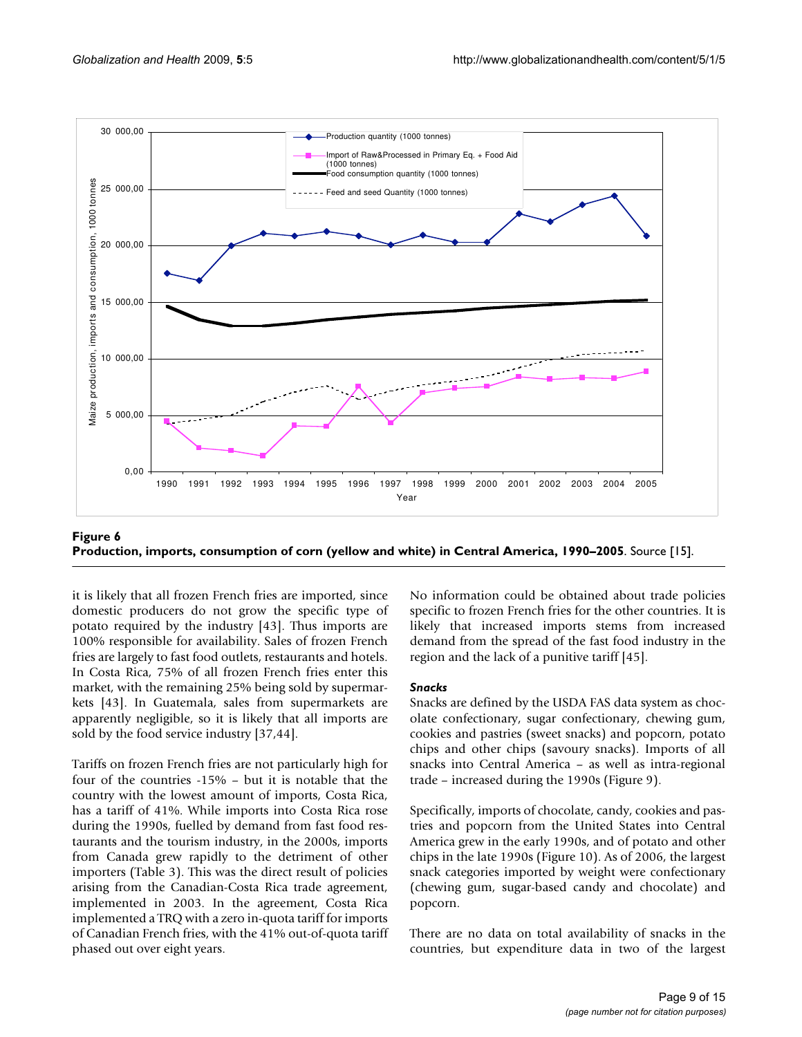<span id="page-8-0"></span>

Production, imports, consumption of corn (y **Figure 6** ellow and white) in Central America, 1990–2005 **Production, imports, consumption of corn (yellow and white) in Central America, 1990–2005**. Source [[15\]](#page-13-9).

it is likely that all frozen French fries are imported, since domestic producers do not grow the specific type of potato required by the industry [[43\]](#page-14-21). Thus imports are 100% responsible for availability. Sales of frozen French fries are largely to fast food outlets, restaurants and hotels. In Costa Rica, 75% of all frozen French fries enter this market, with the remaining 25% being sold by supermarkets [\[43](#page-14-21)]. In Guatemala, sales from supermarkets are apparently negligible, so it is likely that all imports are sold by the food service industry [[37,](#page-14-15)[44\]](#page-14-22).

Tariffs on frozen French fries are not particularly high for four of the countries -15% – but it is notable that the country with the lowest amount of imports, Costa Rica, has a tariff of 41%. While imports into Costa Rica rose during the 1990s, fuelled by demand from fast food restaurants and the tourism industry, in the 2000s, imports from Canada grew rapidly to the detriment of other importers (Table [3](#page-10-1)). This was the direct result of policies arising from the Canadian-Costa Rica trade agreement, implemented in 2003. In the agreement, Costa Rica implemented a TRQ with a zero in-quota tariff for imports of Canadian French fries, with the 41% out-of-quota tariff phased out over eight years.

No information could be obtained about trade policies specific to frozen French fries for the other countries. It is likely that increased imports stems from increased demand from the spread of the fast food industry in the region and the lack of a punitive tariff [\[45](#page-14-23)].

# *Snacks*

Snacks are defined by the USDA FAS data system as chocolate confectionary, sugar confectionary, chewing gum, cookies and pastries (sweet snacks) and popcorn, potato chips and other chips (savoury snacks). Imports of all snacks into Central America – as well as intra-regional trade – increased during the 1990s (Figure [9\)](#page-11-0).

Specifically, imports of chocolate, candy, cookies and pastries and popcorn from the United States into Central America grew in the early 1990s, and of potato and other chips in the late 1990s (Figure [10\)](#page-12-0). As of 2006, the largest snack categories imported by weight were confectionary (chewing gum, sugar-based candy and chocolate) and popcorn.

There are no data on total availability of snacks in the countries, but expenditure data in two of the largest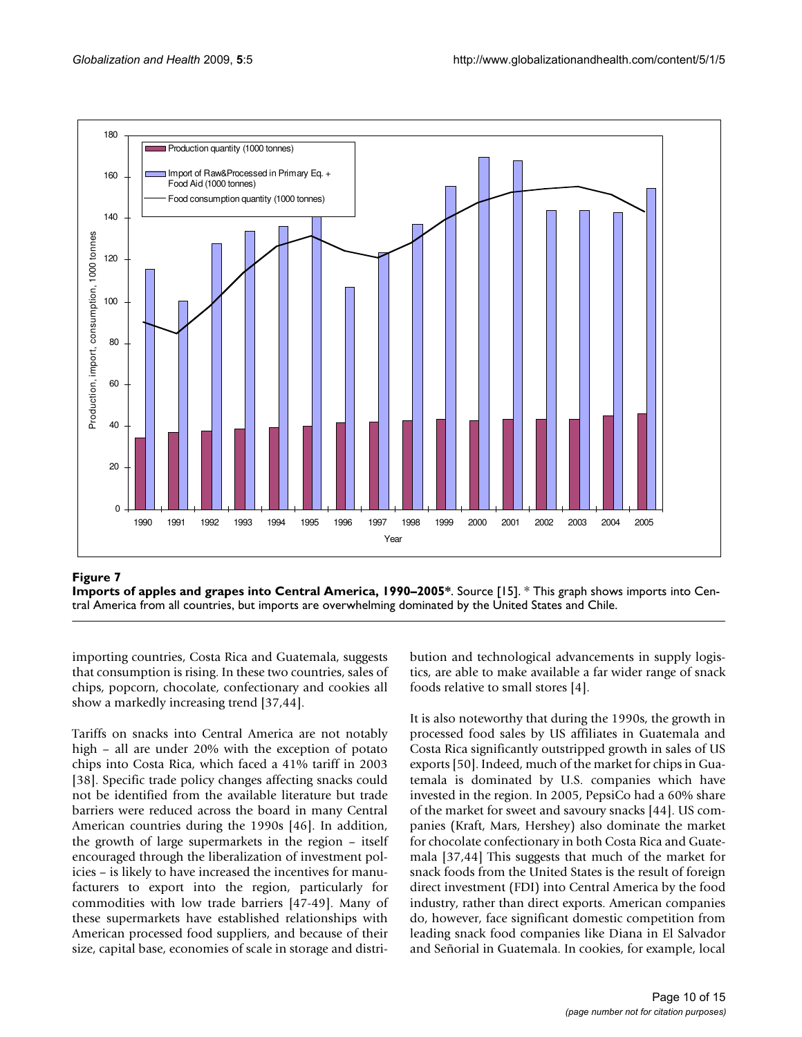<span id="page-9-0"></span>

#### **Figure 7**

**Imports of apples and grapes into Central America, 1990–2005\***. Source [[15](#page-13-9)]. \* This graph shows imports into Central America from all countries, but imports are overwhelming dominated by the United States and Chile.

importing countries, Costa Rica and Guatemala, suggests that consumption is rising. In these two countries, sales of chips, popcorn, chocolate, confectionary and cookies all show a markedly increasing trend [[37](#page-14-15),[44\]](#page-14-22).

Tariffs on snacks into Central America are not notably high – all are under 20% with the exception of potato chips into Costa Rica, which faced a 41% tariff in 2003 [[38](#page-14-16)]. Specific trade policy changes affecting snacks could not be identified from the available literature but trade barriers were reduced across the board in many Central American countries during the 1990s [[46\]](#page-14-24). In addition, the growth of large supermarkets in the region – itself encouraged through the liberalization of investment policies – is likely to have increased the incentives for manufacturers to export into the region, particularly for commodities with low trade barriers [\[47-](#page-14-25)[49\]](#page-14-26). Many of these supermarkets have established relationships with American processed food suppliers, and because of their size, capital base, economies of scale in storage and distribution and technological advancements in supply logistics, are able to make available a far wider range of snack foods relative to small stores [\[4](#page-13-3)].

It is also noteworthy that during the 1990s, the growth in processed food sales by US affiliates in Guatemala and Costa Rica significantly outstripped growth in sales of US exports [[50\]](#page-14-27). Indeed, much of the market for chips in Guatemala is dominated by U.S. companies which have invested in the region. In 2005, PepsiCo had a 60% share of the market for sweet and savoury snacks [[44](#page-14-22)]. US companies (Kraft, Mars, Hershey) also dominate the market for chocolate confectionary in both Costa Rica and Guatemala [\[37](#page-14-15)[,44](#page-14-22)] This suggests that much of the market for snack foods from the United States is the result of foreign direct investment (FDI) into Central America by the food industry, rather than direct exports. American companies do, however, face significant domestic competition from leading snack food companies like Diana in El Salvador and Señorial in Guatemala. In cookies, for example, local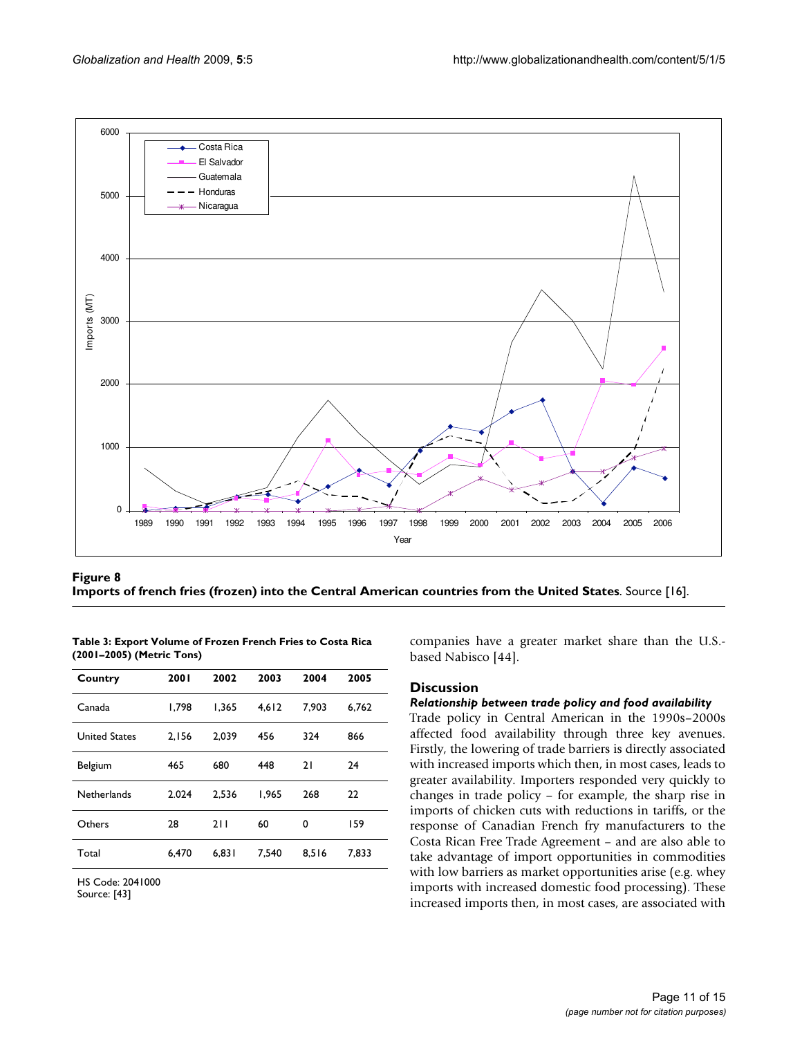<span id="page-10-0"></span>

Imports of french fries (frozen) **Figure 8** into the Central American countries from the United States **Imports of french fries (frozen) into the Central American countries from the United States**. Source [\[16](#page-13-13)].

<span id="page-10-1"></span>

| Table 3: Export Volume of Frozen French Fries to Costa Rica |  |
|-------------------------------------------------------------|--|
| (2001–2005) (Metric Tons)                                   |  |

| Country              | 2001  | 2002  | 2003  | 2004  | 2005  |
|----------------------|-------|-------|-------|-------|-------|
| Canada               | 1.798 | 1.365 | 4.612 | 7.903 | 6.762 |
| <b>United States</b> | 2,156 | 2.039 | 456   | 324   | 866   |
| Belgium              | 465   | 680   | 448   | 21    | 24    |
| Netherlands          | 2.024 | 2.536 | 1.965 | 268   | 22    |
| Others               | 28    | 211   | 60    | 0     | 159   |
| Total                | 6.470 | 6.831 | 7.540 | 8.516 | 7.833 |

HS Code: 2041000

Source: [\[43](#page-14-21)]

companies have a greater market share than the U.S. based Nabisco [[44\]](#page-14-22).

#### **Discussion**

# *Relationship between trade policy and food availability*

Trade policy in Central American in the 1990s–2000s affected food availability through three key avenues. Firstly, the lowering of trade barriers is directly associated with increased imports which then, in most cases, leads to greater availability. Importers responded very quickly to changes in trade policy – for example, the sharp rise in imports of chicken cuts with reductions in tariffs, or the response of Canadian French fry manufacturers to the Costa Rican Free Trade Agreement – and are also able to take advantage of import opportunities in commodities with low barriers as market opportunities arise (e.g. whey imports with increased domestic food processing). These increased imports then, in most cases, are associated with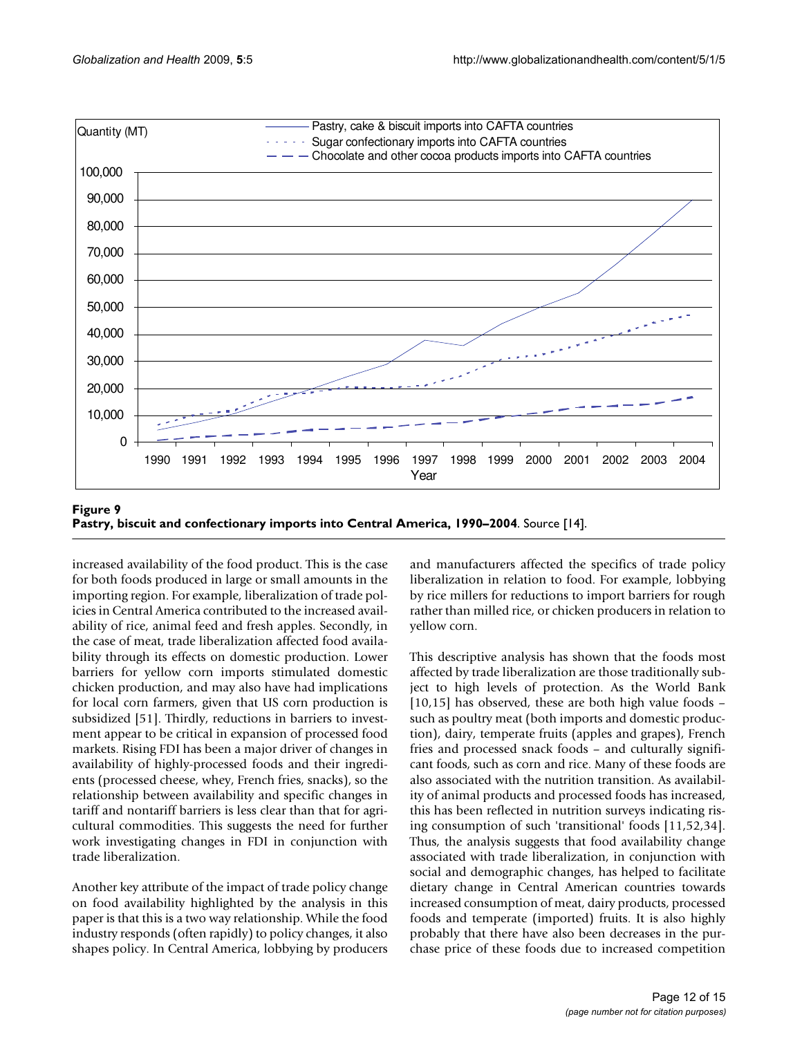<span id="page-11-0"></span>

**Pastry, biscuit and confectionary imports into Central America, 1990–2004**. Source [\[14](#page-13-12)].

increased availability of the food product. This is the case for both foods produced in large or small amounts in the importing region. For example, liberalization of trade policies in Central America contributed to the increased availability of rice, animal feed and fresh apples. Secondly, in the case of meat, trade liberalization affected food availability through its effects on domestic production. Lower barriers for yellow corn imports stimulated domestic chicken production, and may also have had implications for local corn farmers, given that US corn production is subsidized [\[51](#page-14-28)]. Thirdly, reductions in barriers to investment appear to be critical in expansion of processed food markets. Rising FDI has been a major driver of changes in availability of highly-processed foods and their ingredients (processed cheese, whey, French fries, snacks), so the relationship between availability and specific changes in tariff and nontariff barriers is less clear than that for agricultural commodities. This suggests the need for further work investigating changes in FDI in conjunction with trade liberalization.

Another key attribute of the impact of trade policy change on food availability highlighted by the analysis in this paper is that this is a two way relationship. While the food industry responds (often rapidly) to policy changes, it also shapes policy. In Central America, lobbying by producers

and manufacturers affected the specifics of trade policy liberalization in relation to food. For example, lobbying by rice millers for reductions to import barriers for rough rather than milled rice, or chicken producers in relation to yellow corn.

This descriptive analysis has shown that the foods most affected by trade liberalization are those traditionally subject to high levels of protection. As the World Bank [[10](#page-13-8),[15\]](#page-13-9) has observed, these are both high value foods – such as poultry meat (both imports and domestic production), dairy, temperate fruits (apples and grapes), French fries and processed snack foods – and culturally significant foods, such as corn and rice. Many of these foods are also associated with the nutrition transition. As availability of animal products and processed foods has increased, this has been reflected in nutrition surveys indicating rising consumption of such 'transitional' foods [[11](#page-13-10),[52,](#page-14-29)[34](#page-14-12)]. Thus, the analysis suggests that food availability change associated with trade liberalization, in conjunction with social and demographic changes, has helped to facilitate dietary change in Central American countries towards increased consumption of meat, dairy products, processed foods and temperate (imported) fruits. It is also highly probably that there have also been decreases in the purchase price of these foods due to increased competition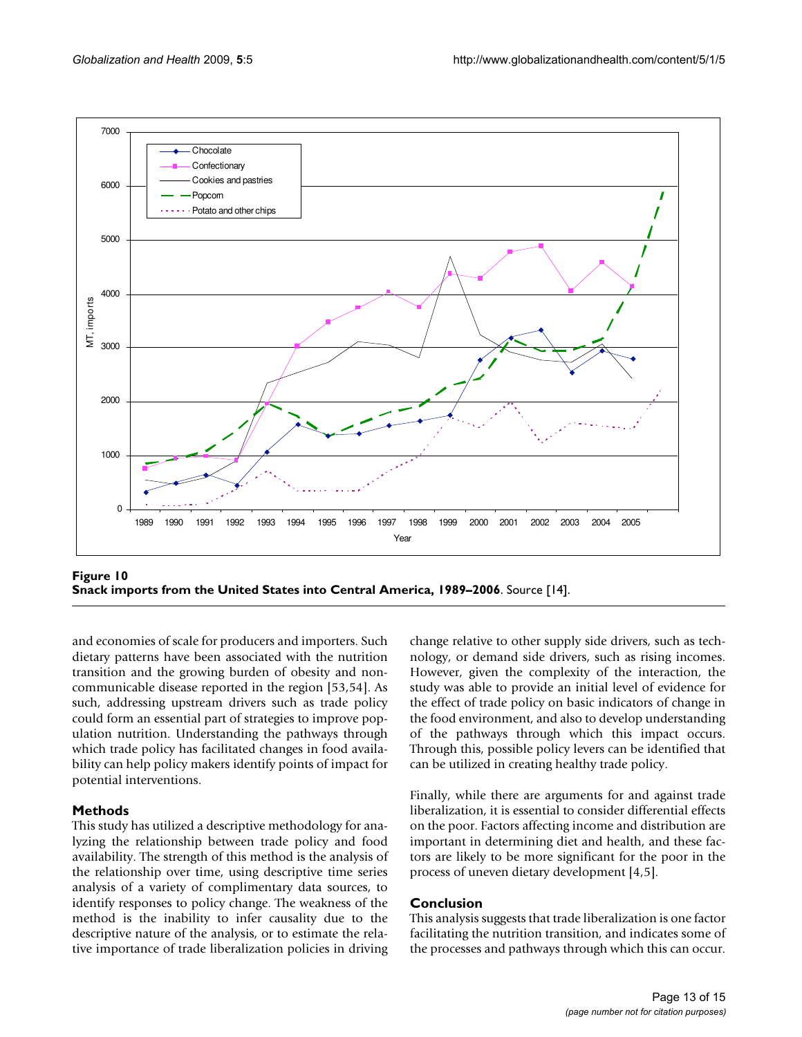<span id="page-12-0"></span>

**Figure 10 Snack imports from the United States into Central America, 1989–2006**. Source [\[14](#page-13-12)].

and economies of scale for producers and importers. Such dietary patterns have been associated with the nutrition transition and the growing burden of obesity and noncommunicable disease reported in the region [\[53,](#page-14-30)[54](#page-14-31)]. As such, addressing upstream drivers such as trade policy could form an essential part of strategies to improve population nutrition. Understanding the pathways through which trade policy has facilitated changes in food availability can help policy makers identify points of impact for potential interventions.

# **Methods**

This study has utilized a descriptive methodology for analyzing the relationship between trade policy and food availability. The strength of this method is the analysis of the relationship over time, using descriptive time series analysis of a variety of complimentary data sources, to identify responses to policy change. The weakness of the method is the inability to infer causality due to the descriptive nature of the analysis, or to estimate the relative importance of trade liberalization policies in driving change relative to other supply side drivers, such as technology, or demand side drivers, such as rising incomes. However, given the complexity of the interaction, the study was able to provide an initial level of evidence for the effect of trade policy on basic indicators of change in the food environment, and also to develop understanding of the pathways through which this impact occurs. Through this, possible policy levers can be identified that can be utilized in creating healthy trade policy.

Finally, while there are arguments for and against trade liberalization, it is essential to consider differential effects on the poor. Factors affecting income and distribution are important in determining diet and health, and these factors are likely to be more significant for the poor in the process of uneven dietary development [[4](#page-13-3),[5\]](#page-13-18).

# **Conclusion**

This analysis suggests that trade liberalization is one factor facilitating the nutrition transition, and indicates some of the processes and pathways through which this can occur.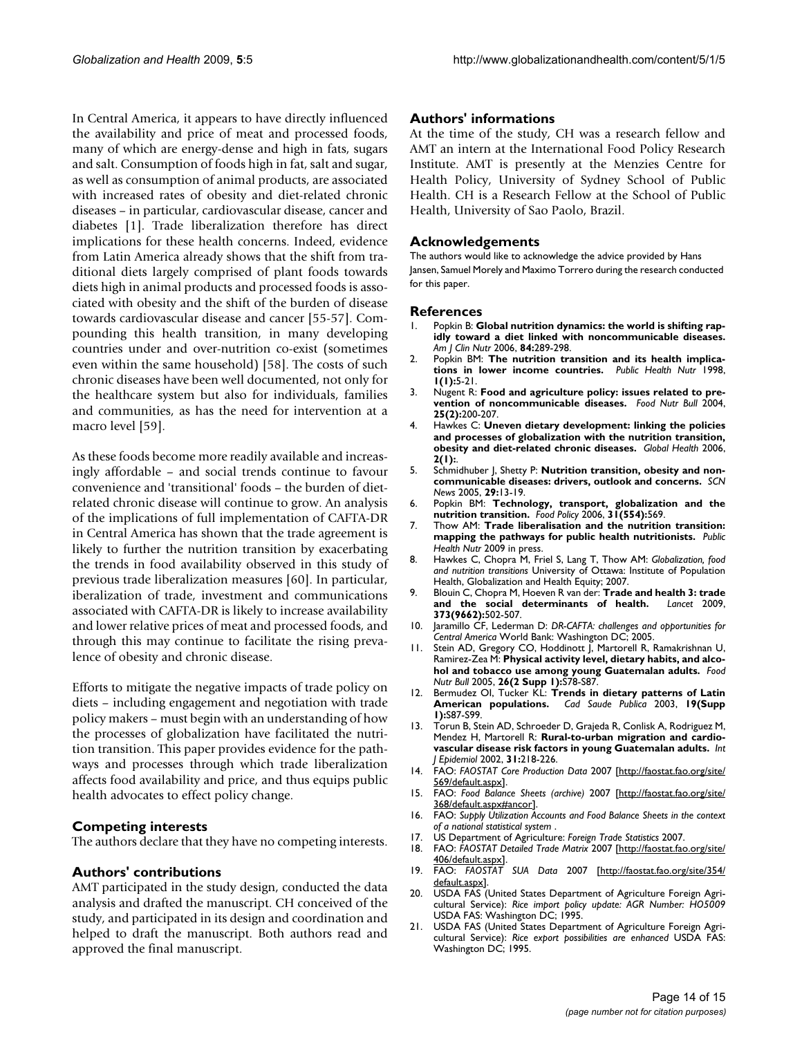In Central America, it appears to have directly influenced the availability and price of meat and processed foods, many of which are energy-dense and high in fats, sugars and salt. Consumption of foods high in fat, salt and sugar, as well as consumption of animal products, are associated with increased rates of obesity and diet-related chronic diseases – in particular, cardiovascular disease, cancer and diabetes [\[1\]](#page-13-0). Trade liberalization therefore has direct implications for these health concerns. Indeed, evidence from Latin America already shows that the shift from traditional diets largely comprised of plant foods towards diets high in animal products and processed foods is associated with obesity and the shift of the burden of disease towards cardiovascular disease and cancer [[55](#page-14-32)-[57](#page-14-33)]. Compounding this health transition, in many developing countries under and over-nutrition co-exist (sometimes even within the same household) [\[58\]](#page-14-34). The costs of such chronic diseases have been well documented, not only for the healthcare system but also for individuals, families and communities, as has the need for intervention at a macro level [[59](#page-14-35)].

As these foods become more readily available and increasingly affordable – and social trends continue to favour convenience and 'transitional' foods – the burden of dietrelated chronic disease will continue to grow. An analysis of the implications of full implementation of CAFTA-DR in Central America has shown that the trade agreement is likely to further the nutrition transition by exacerbating the trends in food availability observed in this study of previous trade liberalization measures [\[60\]](#page-14-36). In particular, iberalization of trade, investment and communications associated with CAFTA-DR is likely to increase availability and lower relative prices of meat and processed foods, and through this may continue to facilitate the rising prevalence of obesity and chronic disease.

Efforts to mitigate the negative impacts of trade policy on diets – including engagement and negotiation with trade policy makers – must begin with an understanding of how the processes of globalization have facilitated the nutrition transition. This paper provides evidence for the pathways and processes through which trade liberalization affects food availability and price, and thus equips public health advocates to effect policy change.

#### **Competing interests**

The authors declare that they have no competing interests.

# **Authors' contributions**

AMT participated in the study design, conducted the data analysis and drafted the manuscript. CH conceived of the study, and participated in its design and coordination and helped to draft the manuscript. Both authors read and approved the final manuscript.

#### **Authors' informations**

At the time of the study, CH was a research fellow and AMT an intern at the International Food Policy Research Institute. AMT is presently at the Menzies Centre for Health Policy, University of Sydney School of Public Health. CH is a Research Fellow at the School of Public Health, University of Sao Paolo, Brazil.

#### **Acknowledgements**

The authors would like to acknowledge the advice provided by Hans Jansen, Samuel Morely and Maximo Torrero during the research conducted for this paper.

#### **References**

- <span id="page-13-0"></span>1. Popkin B: **[Global nutrition dynamics: the world is shifting rap](http://www.ncbi.nlm.nih.gov/entrez/query.fcgi?cmd=Retrieve&db=PubMed&dopt=Abstract&list_uids=16895874)[idly toward a diet linked with noncommunicable diseases.](http://www.ncbi.nlm.nih.gov/entrez/query.fcgi?cmd=Retrieve&db=PubMed&dopt=Abstract&list_uids=16895874)** *Am J Clin Nutr* 2006, **84:**289-298.
- <span id="page-13-1"></span>2. Popkin BM: **[The nutrition transition and its health implica](http://www.ncbi.nlm.nih.gov/entrez/query.fcgi?cmd=Retrieve&db=PubMed&dopt=Abstract&list_uids=10555527)[tions in lower income countries.](http://www.ncbi.nlm.nih.gov/entrez/query.fcgi?cmd=Retrieve&db=PubMed&dopt=Abstract&list_uids=10555527)** *Public Health Nutr* 1998, **1(1):**5-21.
- <span id="page-13-2"></span>3. Nugent R: **[Food and agriculture policy: issues related to pre](http://www.ncbi.nlm.nih.gov/entrez/query.fcgi?cmd=Retrieve&db=PubMed&dopt=Abstract&list_uids=15214267)[vention of noncommunicable diseases.](http://www.ncbi.nlm.nih.gov/entrez/query.fcgi?cmd=Retrieve&db=PubMed&dopt=Abstract&list_uids=15214267)** *Food Nutr Bull* 2004, **25(2):**200-207.
- <span id="page-13-3"></span>4. Hawkes C: **[Uneven dietary development: linking the policies](http://www.ncbi.nlm.nih.gov/entrez/query.fcgi?cmd=Retrieve&db=PubMed&dopt=Abstract&list_uids=16569239) [and processes of globalization with the nutrition transition,](http://www.ncbi.nlm.nih.gov/entrez/query.fcgi?cmd=Retrieve&db=PubMed&dopt=Abstract&list_uids=16569239) [obesity and diet-related chronic diseases.](http://www.ncbi.nlm.nih.gov/entrez/query.fcgi?cmd=Retrieve&db=PubMed&dopt=Abstract&list_uids=16569239)** *Global Health* 2006, **2(1):**.
- <span id="page-13-18"></span>5. Schmidhuber J, Shetty P: **Nutrition transition, obesity and noncommunicable diseases: drivers, outlook and concerns.** *SCN News* 2005, **29:**13-19.
- <span id="page-13-4"></span>6. Popkin BM: **Technology, transport, globalization and the nutrition transition.** *Food Policy* 2006, **31(554):**569.
- <span id="page-13-5"></span>7. Thow AM: **[Trade liberalisation and the nutrition transition:](http://www.ncbi.nlm.nih.gov/entrez/query.fcgi?cmd=Retrieve&db=PubMed&dopt=Abstract&list_uids=19433005) [mapping the pathways for public health nutritionists.](http://www.ncbi.nlm.nih.gov/entrez/query.fcgi?cmd=Retrieve&db=PubMed&dopt=Abstract&list_uids=19433005)** *Public Health Nutr* 2009 in press.
- <span id="page-13-6"></span>8. Hawkes C, Chopra M, Friel S, Lang T, Thow AM: *Globalization, food and nutrition transitions* University of Ottawa: Institute of Population Health, Globalization and Health Equity; 2007.
- <span id="page-13-7"></span>9. Blouin C, Chopra M, Hoeven R van der: **[Trade and health 3: trade](http://www.ncbi.nlm.nih.gov/entrez/query.fcgi?cmd=Retrieve&db=PubMed&dopt=Abstract&list_uids=19167058)** [and the social determinants of health.](http://www.ncbi.nlm.nih.gov/entrez/query.fcgi?cmd=Retrieve&db=PubMed&dopt=Abstract&list_uids=19167058) **373(9662):**502-507.
- <span id="page-13-8"></span>10. Jaramillo CF, Lederman D: *DR-CAFTA: challenges and opportunities for Central America* World Bank: Washington DC; 2005.
- <span id="page-13-10"></span>11. Stein AD, Gregory CO, Hoddinott J, Martorell R, Ramakrishnan U, Ramirez-Zea M: **[Physical activity level, dietary habits, and alco](http://www.ncbi.nlm.nih.gov/entrez/query.fcgi?cmd=Retrieve&db=PubMed&dopt=Abstract&list_uids=16060214)[hol and tobacco use among young Guatemalan adults.](http://www.ncbi.nlm.nih.gov/entrez/query.fcgi?cmd=Retrieve&db=PubMed&dopt=Abstract&list_uids=16060214)** *Food Nutr Bull* 2005, **26(2 Supp 1):**S78-S87.
- 12. Bermudez OI, Tucker KL: **Trends in dietary patterns of Latin American populations.** *Cad Saude Publica* 2003, **19(Supp 1):**S87-S99.
- <span id="page-13-11"></span>13. Torun B, Stein AD, Schroeder D, Grajeda R, Conlisk A, Rodriguez M, Mendez H, Martorell R: **[Rural-to-urban migration and cardio](http://www.ncbi.nlm.nih.gov/entrez/query.fcgi?cmd=Retrieve&db=PubMed&dopt=Abstract&list_uids=11914324)[vascular disease risk factors in young Guatemalan adults.](http://www.ncbi.nlm.nih.gov/entrez/query.fcgi?cmd=Retrieve&db=PubMed&dopt=Abstract&list_uids=11914324)** *Int J Epidemiol* 2002, **31:**218-226.
- <span id="page-13-12"></span>14. FAO: *FAOSTAT Core Production Data* 2007 [[http://faostat.fao.org/site/](http://faostat.fao.org/site/569/default.aspx) [569/default.aspx](http://faostat.fao.org/site/569/default.aspx)].
- <span id="page-13-9"></span>15. FAO: *Food Balance Sheets (archive)* 2007 [[http://faostat.fao.org/site/](http://faostat.fao.org/site/368/default.aspx#ancor) [368/default.aspx#ancor](http://faostat.fao.org/site/368/default.aspx#ancor)].
- <span id="page-13-13"></span>16. FAO: *Supply Utilization Accounts and Food Balance Sheets in the context of a national statistical system* .
- <span id="page-13-14"></span>17. US Department of Agriculture: *Foreign Trade Statistics* 2007.
- <span id="page-13-15"></span>18. FAO: *FAOSTAT Detailed Trade Matrix* 2007 [[http://faostat.fao.org/site/](http://faostat.fao.org/site/406/default.aspx) [406/default.aspx](http://faostat.fao.org/site/406/default.aspx)].
- <span id="page-13-16"></span>19. FAO: *FAOSTAT SUA Data* 2007 [\[http://faostat.fao.org/site/354/](http://faostat.fao.org/site/354/default.aspx) [default.aspx](http://faostat.fao.org/site/354/default.aspx)].
- <span id="page-13-17"></span>20. USDA FAS (United States Department of Agriculture Foreign Agricultural Service): *Rice import policy update: AGR Number: HO5009* USDA FAS: Washington DC; 1995.
- 21. USDA FAS (United States Department of Agriculture Foreign Agricultural Service): *Rice export possibilities are enhanced* USDA FAS: Washington DC; 1995.